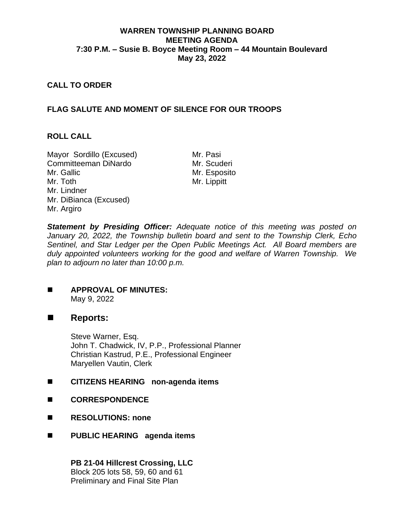## **WARREN TOWNSHIP PLANNING BOARD MEETING AGENDA 7:30 P.M. – Susie B. Boyce Meeting Room – 44 Mountain Boulevard May 23, 2022**

## **CALL TO ORDER**

# **FLAG SALUTE AND MOMENT OF SILENCE FOR OUR TROOPS**

### **ROLL CALL**

Mayor Sordillo (Excused) Mr. Pasi Committeeman DiNardo Mr. Scuderi Mr. Gallic Mr. Toth Mr. Lindner Mr. DiBianca (Excused) Mr. Argiro

Mr. Esposito Mr. Lippitt

*Statement by Presiding Officer: Adequate notice of this meeting was posted on January 20, 2022, the Township bulletin board and sent to the Township Clerk, Echo Sentinel, and Star Ledger per the Open Public Meetings Act. All Board members are duly appointed volunteers working for the good and welfare of Warren Township. We plan to adjourn no later than 10:00 p.m.*

#### ◼ **APPROVAL OF MINUTES:** May 9, 2022

### ■ **Reports:**

Steve Warner, Esq. John T. Chadwick, IV, P.P., Professional Planner Christian Kastrud, P.E., Professional Engineer Maryellen Vautin, Clerk

### ■ CITIZENS HEARING non-agenda items

- ◼ **CORRESPONDENCE**
- ◼ **RESOLUTIONS: none**
- ◼ **PUBLIC HEARING agenda items**

**PB 21-04 Hillcrest Crossing, LLC** Block 205 lots 58, 59, 60 and 61 Preliminary and Final Site Plan